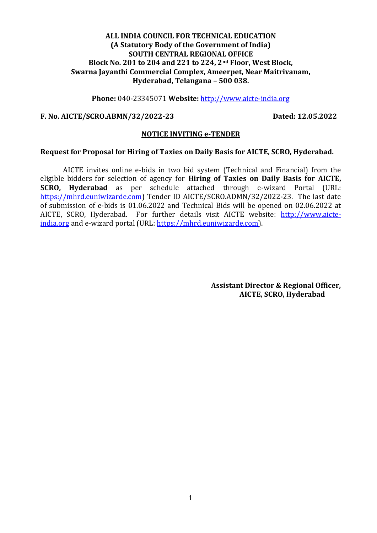**Phone:** 040-23345071 **Website:** [http://www.aicte-india.org](http://www.aicte-india.org/)

#### **F. No. AICTE/SCRO.ABMN/32/2022-23 Dated: 12.05.2022**

#### **NOTICE INVITING e-TENDER**

#### **Request for Proposal for Hiring of Taxies on Daily Basis for AICTE, SCRO, Hyderabad.**

AICTE invites online e-bids in two bid system (Technical and Financial) from the eligible bidders for selection of agency for **Hiring of Taxies on Daily Basis for AICTE, SCRO, Hyderabad** as per schedule attached through e-wizard Portal (URL: [https://mhrd.euniwizarde.com\)](https://mhrd.euniwizarde.com/) Tender ID AICTE/SCRO.ADMN/32/2022-23. The last date of submission of e-bids is 01.06.2022 and Technical Bids will be opened on 02.06.2022 at AICTE, SCRO, Hyderabad. For further details visit AICTE website: [http://www.aicte](http://www.aicte-india.org/)[india.org](http://www.aicte-india.org/) and e-wizard portal (URL: [https://mhrd.euniwizarde.com\)](https://mhrd.euniwizarde.com/).

> **Assistant Director & Regional Officer, AICTE, SCRO, Hyderabad**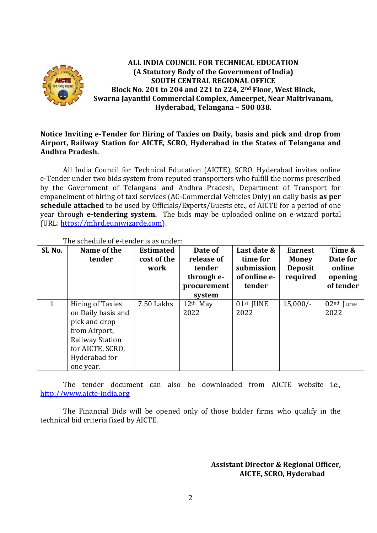

# **Notice Inviting e-Tender for Hiring of Taxies on Daily, basis and pick and drop from Airport, Railway Station for AICTE, SCRO, Hyderabad in the States of Telangana and Andhra Pradesh.**

All India Council for Technical Education (AICTE), SCRO, Hyderabad invites online e-Tender under two bids system from reputed transporters who fulfill the norms prescribed by the Government of Telangana and Andhra Pradesh, Department of Transport for empanelment of hiring of taxi services (AC-Commercial Vehicles Only) on daily basis **as per schedule attached** to be used by Officials/Experts/Guests etc., of AICTE for a period of one year through **e-tendering system.** The bids may be uploaded online on e-wizard portal (URL: [https://mhrd.euniwizarde.com\)](https://mhrd.euniwizarde.com/).

| Sl. No. | Name of the<br>tender                                                                                                                                       | <b>Estimated</b><br>cost of the<br>work | Date of<br>release of<br>tender<br>through e-<br>procurement<br>system | Last date &<br>time for<br>submission<br>of online e-<br>tender | <b>Earnest</b><br><b>Money</b><br><b>Deposit</b><br>required | Time &<br>Date for<br>online<br>opening<br>of tender |
|---------|-------------------------------------------------------------------------------------------------------------------------------------------------------------|-----------------------------------------|------------------------------------------------------------------------|-----------------------------------------------------------------|--------------------------------------------------------------|------------------------------------------------------|
|         | <b>Hiring of Taxies</b><br>on Daily basis and<br>pick and drop<br>from Airport,<br><b>Railway Station</b><br>for AICTE, SCRO,<br>Hyderabad for<br>one year. | 7.50 Lakhs                              | $12th$ May<br>2022                                                     | 01st JUNE<br>2022                                               | $15,000/-$                                                   | $02nd$ June<br>2022                                  |

### The schedule of e-tender is as under:

The tender document can also be downloaded from AICTE website i.e., [http://www.aicte-india.org](http://www.aicte-india.org/)

The Financial Bids will be opened only of those bidder firms who qualify in the technical bid criteria fixed by AICTE.

> **Assistant Director & Regional Officer, AICTE, SCRO, Hyderabad**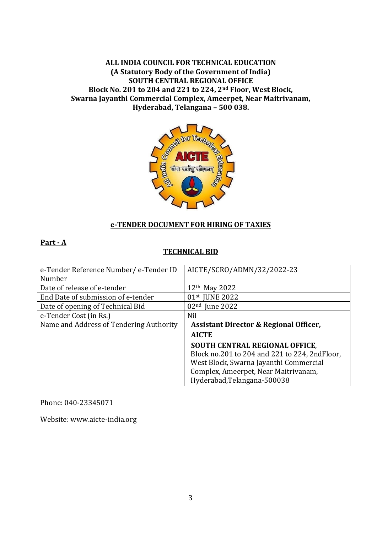

# **e-TENDER DOCUMENT FOR HIRING OF TAXIES**

## **Part - A**

# **TECHNICAL BID**

| e-Tender Reference Number/ e-Tender ID  | AICTE/SCRO/ADMN/32/2022-23                        |
|-----------------------------------------|---------------------------------------------------|
| Number                                  |                                                   |
| Date of release of e-tender             | $12th$ May 2022                                   |
| End Date of submission of e-tender      | 01st JUNE 2022                                    |
| Date of opening of Technical Bid        | $02nd$ June 2022                                  |
| e-Tender Cost (in Rs.)                  | Nil                                               |
| Name and Address of Tendering Authority | <b>Assistant Director &amp; Regional Officer,</b> |
|                                         | <b>AICTE</b>                                      |
|                                         | <b>SOUTH CENTRAL REGIONAL OFFICE,</b>             |
|                                         | Block no.201 to 204 and 221 to 224, 2ndFloor,     |
|                                         | West Block, Swarna Jayanthi Commercial            |
|                                         | Complex, Ameerpet, Near Maitrivanam,              |
|                                         | Hyderabad, Telangana-500038                       |

Phone: 040-23345071

Website: [www.aicte-india.org](http://www.aicte-india.org/)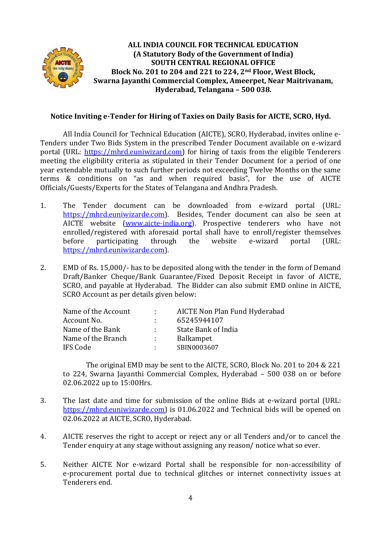

# **Notice Inviting e-Tender for Hiring of Taxies on Daily Basis for AICTE, SCRO, Hyd.**

All India Council for Technical Education (AICTE), SCRO, Hyderabad, invites online e-Tenders under Two Bids System in the prescribed Tender Document available on e-wizard portal (URL: [https://mhrd.euniwizard.com\)](https://mhrd.euniwizard.com/) for hiring of taxis from the eligible Tenderers meeting the eligibility criteria as stipulated in their Tender Document for a period of one year extendable mutually to such further periods not exceeding Twelve Months on the same terms & conditions on "as and when required basis", for the use of AICTE Officials/Guests/Experts for the States of Telangana and Andhra Pradesh.

- 1. The Tender document can be downloaded from e-wizard portal (URL: [https://mhrd.euniwizarde.com\)](https://mhrd.euniwizarde.com/). Besides, Tender document can also be seen at AICTE website [\(www.aicte-india.org\)](http://www.aicte-india.org/). Prospective tenderers who have not enrolled/registered with aforesaid portal shall have to enroll/register themselves before participating through the website e-wizard portal (URL: [https://mhrd.euniwizarde.com\)](https://mhrd.euniwizarde.com/).
- 2. EMD of Rs. 15,000/- has to be deposited along with the tender in the form of Demand Draft/Banker Cheque/Bank Guarantee/Fixed Deposit Receipt in favor of AICTE, SCRO, and payable at Hyderabad. The Bidder can also submit EMD online in AICTE, SCRO Account as per details given below:

| Name of the Account | A.   | AICTE Non Plan Fund Hyderabad |
|---------------------|------|-------------------------------|
| Account No.         |      | 65245944107                   |
| Name of the Bank    | di s | State Bank of India           |
| Name of the Branch  | di s | <b>Balkampet</b>              |
| IFS Code            |      | SBIN0003607                   |
|                     |      |                               |

The original EMD may be sent to the AICTE, SCRO, Block No. 201 to 204 & 221 to 224, Swarna Jayanthi Commercial Complex, Hyderabad – 500 038 on or before 02.06.2022 up to 15:00Hrs.

- 3. The last date and time for submission of the online Bids at e-wizard portal (URL: [https://mhrd.euniwizarde.com\)](https://mhrd.euniwizarde.com/) is 01.06.2022 and Technical bids will be opened on 02.06.2022 at AICTE, SCRO, Hyderabad.
- 4. AICTE reserves the right to accept or reject any or all Tenders and/or to cancel the Tender enquiry at any stage without assigning any reason/ notice what so ever.
- 5. Neither AICTE Nor e-wizard Portal shall be responsible for non-accessibility of e-procurement portal due to technical glitches or internet connectivity issues at Tenderers end.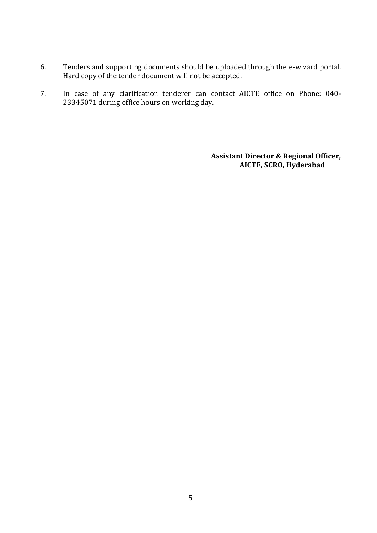- 6. Tenders and supporting documents should be uploaded through the e-wizard portal. Hard copy of the tender document will not be accepted.
- 7. In case of any clarification tenderer can contact AICTE office on Phone: 040- 23345071 during office hours on working day.

 **Assistant Director & Regional Officer, AICTE, SCRO, Hyderabad**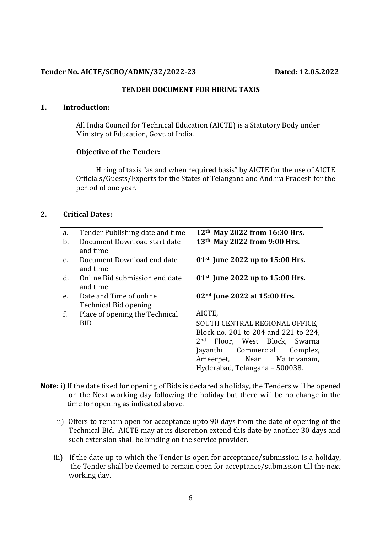#### **Tender No. AICTE/SCRO/ADMN/32/2022-23 Dated: 12.05.2022**

#### **TENDER DOCUMENT FOR HIRING TAXIS**

### **1. Introduction:**

All India Council for Technical Education (AICTE) is a Statutory Body under Ministry of Education, Govt. of India.

#### **Objective of the Tender:**

 Hiring of taxis "as and when required basis" by AICTE for the use of AICTE Officials/Guests/Experts for the States of Telangana and Andhra Pradesh for the period of one year.

## **2. Critical Dates:**

| a.             | Tender Publishing date and time | 12 <sup>th</sup> May 2022 from 16:30 Hrs.    |
|----------------|---------------------------------|----------------------------------------------|
| $\mathbf{b}$ . | Document Download start date    | 13th May 2022 from 9:00 Hrs.                 |
|                | and time                        |                                              |
| $C_{\bullet}$  | Document Download end date      | 01st June 2022 up to $15:00$ Hrs.            |
|                | and time                        |                                              |
| d.             | Online Bid submission end date  | 01st June 2022 up to $15:00$ Hrs.            |
|                | and time                        |                                              |
| e.             | Date and Time of online         | 02 <sup>nd</sup> June 2022 at 15:00 Hrs.     |
|                | <b>Technical Bid opening</b>    |                                              |
| f.             | Place of opening the Technical  | AICTE,                                       |
|                | <b>BID</b>                      | SOUTH CENTRAL REGIONAL OFFICE,               |
|                |                                 | Block no. 201 to 204 and 221 to 224,         |
|                |                                 | 2 <sub>nd</sub><br>Floor, West Block, Swarna |
|                |                                 | Jayanthi Commercial<br>Complex,              |
|                |                                 | Ameerpet, Near Maitrivanam,                  |
|                |                                 | Hyderabad, Telangana - 500038.               |

- **Note:** i) If the date fixed for opening of Bids is declared a holiday, the Tenders will be opened on the Next working day following the holiday but there will be no change in the time for opening as indicated above.
	- ii) Offers to remain open for acceptance upto 90 days from the date of opening of the Technical Bid. AICTE may at its discretion extend this date by another 30 days and such extension shall be binding on the service provider.
	- iii) If the date up to which the Tender is open for acceptance/submission is a holiday, the Tender shall be deemed to remain open for acceptance/submission till the next working day.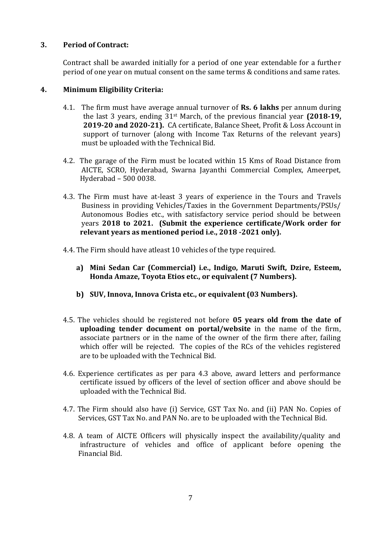# **3. Period of Contract:**

Contract shall be awarded initially for a period of one year extendable for a further period of one year on mutual consent on the same terms & conditions and same rates.

# **4. Minimum Eligibility Criteria:**

- 4.1. The firm must have average annual turnover of **Rs. 6 lakhs** per annum during the last 3 years, ending 31st March, of the previous financial year **(2018-19, 2019-20 and 2020-21).** CA certificate, Balance Sheet, Profit & Loss Account in support of turnover (along with Income Tax Returns of the relevant years) must be uploaded with the Technical Bid.
- 4.2. The garage of the Firm must be located within 15 Kms of Road Distance from AICTE, SCRO, Hyderabad, Swarna Jayanthi Commercial Complex, Ameerpet, Hyderabad – 500 0038.
- 4.3. The Firm must have at-least 3 years of experience in the Tours and Travels Business in providing Vehicles/Taxies in the Government Departments/PSUs/ Autonomous Bodies etc., with satisfactory service period should be between years **2018 to 2021. (Submit the experience certificate/Work order for relevant years as mentioned period i.e., 2018 -2021 only).**
- 4.4. The Firm should have atleast 10 vehicles of the type required.
	- **a) Mini Sedan Car (Commercial) i.e., Indigo, Maruti Swift, Dzire, Esteem, Honda Amaze, Toyota Etios etc., or equivalent (7 Numbers).**
	- **b) SUV, Innova, Innova Crista etc., or equivalent (03 Numbers).**
- 4.5. The vehicles should be registered not before **05 years old from the date of uploading tender document on portal/website** in the name of the firm, associate partners or in the name of the owner of the firm there after, failing which offer will be rejected. The copies of the RCs of the vehicles registered are to be uploaded with the Technical Bid.
- 4.6. Experience certificates as per para 4.3 above, award letters and performance certificate issued by officers of the level of section officer and above should be uploaded with the Technical Bid.
- 4.7. The Firm should also have (i) Service, GST Tax No. and (ii) PAN No. Copies of Services, GST Tax No. and PAN No. are to be uploaded with the Technical Bid.
- 4.8. A team of AICTE Officers will physically inspect the availability/quality and infrastructure of vehicles and office of applicant before opening the Financial Bid.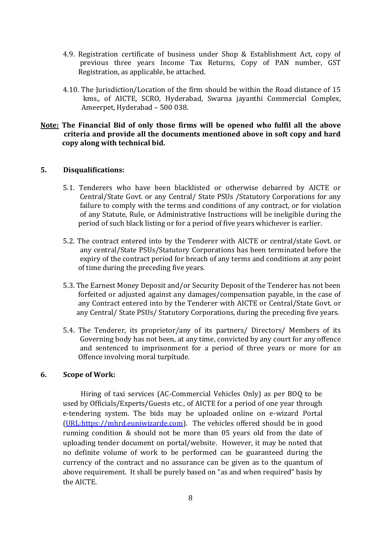- 4.9. Registration certificate of business under Shop & Establishment Act, copy of previous three years Income Tax Returns, Copy of PAN number, GST Registration, as applicable, be attached.
- 4.10. The Jurisdiction/Location of the firm should be within the Road distance of 15 kms., of AICTE, SCRO, Hyderabad, Swarna jayanthi Commercial Complex, Ameerpet, Hyderabad – 500 038.

## **Note: The Financial Bid of only those firms will be opened who fulfil all the above criteria and provide all the documents mentioned above in soft copy and hard copy along with technical bid.**

#### **5. Disqualifications:**

- 5.1. Tenderers who have been blacklisted or otherwise debarred by AICTE or Central/State Govt. or any Central/ State PSUs /Statutory Corporations for any failure to comply with the terms and conditions of any contract, or for violation of any Statute, Rule, or Administrative Instructions will be ineligible during the period of such black listing or for a period of five years whichever is earlier.
- 5.2. The contract entered into by the Tenderer with AICTE or central/state Govt. or any central/State PSUs/Statutory Corporations has been terminated before the expiry of the contract period for breach of any terms and conditions at any point of time during the preceding five years.
- 5.3. The Earnest Money Deposit and/or Security Deposit of the Tenderer has not been forfeited or adjusted against any damages/compensation payable, in the case of any Contract entered into by the Tenderer with AICTE or Central/State Govt. or any Central/ State PSUs/ Statutory Corporations, during the preceding five years.
- 5.4. The Tenderer, its proprietor/any of its partners/ Directors/ Members of its Governing body has not been, at any time, convicted by any court for any offence and sentenced to imprisonment for a period of three years or more for an Offence involving moral turpitude.

#### **6. Scope of Work:**

Hiring of taxi services (AC-Commercial Vehicles Only) as per BOQ to be used by Officials/Experts/Guests etc., of AICTE for a period of one year through e-tendering system. The bids may be uploaded online on e-wizard Portal [\(URL:https://mhrd.euniwizarde.com\)](https://mhrd.euniwizarde.com/). The vehicles offered should be in good running condition & should not be more than 05 years old from the date of uploading tender document on portal/website. However, it may be noted that no definite volume of work to be performed can be guaranteed during the currency of the contract and no assurance can be given as to the quantum of above requirement. It shall be purely based on "as and when required" basis by the AICTE.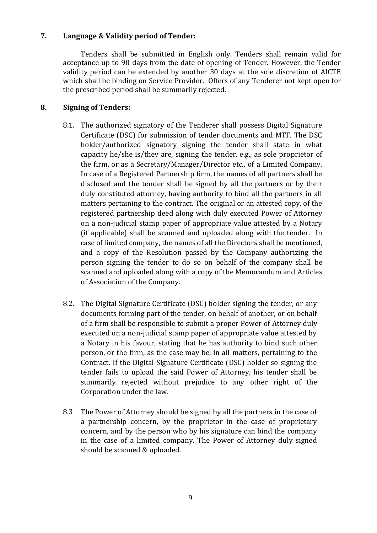# **7. Language & Validity period of Tender:**

Tenders shall be submitted in English only. Tenders shall remain valid for acceptance up to 90 days from the date of opening of Tender. However, the Tender validity period can be extended by another 30 days at the sole discretion of AICTE which shall be binding on Service Provider. Offers of any Tenderer not kept open for the prescribed period shall be summarily rejected.

# **8. Signing of Tenders:**

- 8.1. The authorized signatory of the Tenderer shall possess Digital Signature Certificate (DSC) for submission of tender documents and MTF. The DSC holder/authorized signatory signing the tender shall state in what capacity he/she is/they are, signing the tender, e.g., as sole proprietor of the firm, or as a Secretary/Manager/Director etc., of a Limited Company. In case of a Registered Partnership firm, the names of all partners shall be disclosed and the tender shall be signed by all the partners or by their duly constituted attorney, having authority to bind all the partners in all matters pertaining to the contract. The original or an attested copy, of the registered partnership deed along with duly executed Power of Attorney on a non-judicial stamp paper of appropriate value attested by a Notary (if applicable) shall be scanned and uploaded along with the tender. In case of limited company, the names of all the Directors shall be mentioned, and a copy of the Resolution passed by the Company authorizing the person signing the tender to do so on behalf of the company shall be scanned and uploaded along with a copy of the Memorandum and Articles of Association of the Company.
- 8.2. The Digital Signature Certificate (DSC) holder signing the tender, or any documents forming part of the tender, on behalf of another, or on behalf of a firm shall be responsible to submit a proper Power of Attorney duly executed on a non-judicial stamp paper of appropriate value attested by a Notary in his favour, stating that he has authority to bind such other person, or the firm, as the case may be, in all matters, pertaining to the Contract. If the Digital Signature Certificate (DSC) holder so signing the tender fails to upload the said Power of Attorney, his tender shall be summarily rejected without prejudice to any other right of the Corporation under the law.
- 8.3 The Power of Attorney should be signed by all the partners in the case of a partnership concern, by the proprietor in the case of proprietary concern, and by the person who by his signature can bind the company in the case of a limited company. The Power of Attorney duly signed should be scanned & uploaded.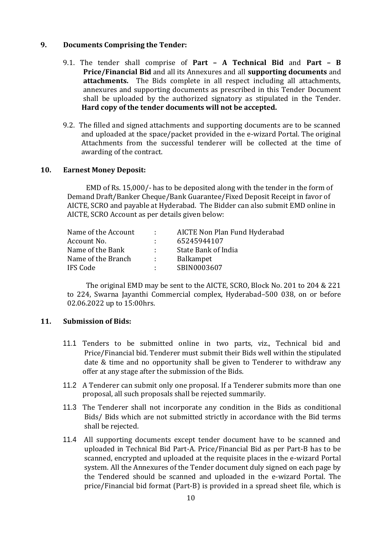### **9. Documents Comprising the Tender:**

- 9.1. The tender shall comprise of **Part – A Technical Bid** and **Part – B Price/Financial Bid** and all its Annexures and all **supporting documents** and **attachments.** The Bids complete in all respect including all attachments, annexures and supporting documents as prescribed in this Tender Document shall be uploaded by the authorized signatory as stipulated in the Tender. **Hard copy of the tender documents will not be accepted.**
- 9.2. The filled and signed attachments and supporting documents are to be scanned and uploaded at the space/packet provided in the e-wizard Portal. The original Attachments from the successful tenderer will be collected at the time of awarding of the contract.

#### **10. Earnest Money Deposit:**

EMD of Rs. 15,000/- has to be deposited along with the tender in the form of Demand Draft/Banker Cheque/Bank Guarantee/Fixed Deposit Receipt in favor of AICTE, SCRO and payable at Hyderabad. The Bidder can also submit EMD online in AICTE, SCRO Account as per details given below:

| Name of the Account | <b>Contract</b>            | AICTE Non Plan Fund Hyderabad |
|---------------------|----------------------------|-------------------------------|
| Account No.         | ÷.                         | 65245944107                   |
| Name of the Bank    | $\mathcal{L}^{\text{max}}$ | State Bank of India           |
| Name of the Branch  | <b>Alberta</b>             | Balkampet                     |
| <b>IFS Code</b>     | <b>All Control</b>         | SBIN0003607                   |

The original EMD may be sent to the AICTE, SCRO, Block No. 201 to 204 & 221 to 224, Swarna Jayanthi Commercial complex, Hyderabad–500 038, on or before 02.06.2022 up to 15:00hrs.

#### **11. Submission of Bids:**

- 11.1 Tenders to be submitted online in two parts, viz., Technical bid and Price/Financial bid. Tenderer must submit their Bids well within the stipulated date & time and no opportunity shall be given to Tenderer to withdraw any offer at any stage after the submission of the Bids.
- 11.2 A Tenderer can submit only one proposal. If a Tenderer submits more than one proposal, all such proposals shall be rejected summarily.
- 11.3 The Tenderer shall not incorporate any condition in the Bids as conditional Bids/ Bids which are not submitted strictly in accordance with the Bid terms shall be rejected.
- 11.4 All supporting documents except tender document have to be scanned and uploaded in Technical Bid Part-A. Price/Financial Bid as per Part-B has to be scanned, encrypted and uploaded at the requisite places in the e-wizard Portal system. All the Annexures of the Tender document duly signed on each page by the Tendered should be scanned and uploaded in the e-wizard Portal. The price/Financial bid format (Part-B) is provided in a spread sheet file, which is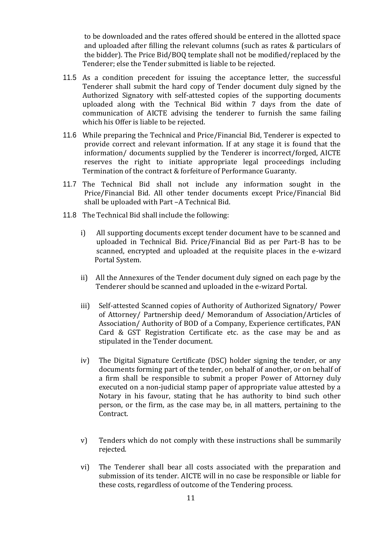to be downloaded and the rates offered should be entered in the allotted space and uploaded after filling the relevant columns (such as rates & particulars of the bidder). The Price Bid/BOQ template shall not be modified/replaced by the Tenderer; else the Tender submitted is liable to be rejected.

- 11.5 As a condition precedent for issuing the acceptance letter, the successful Tenderer shall submit the hard copy of Tender document duly signed by the Authorized Signatory with self-attested copies of the supporting documents uploaded along with the Technical Bid within 7 days from the date of communication of AICTE advising the tenderer to furnish the same failing which his Offer is liable to be rejected.
- 11.6 While preparing the Technical and Price/Financial Bid, Tenderer is expected to provide correct and relevant information. If at any stage it is found that the information/ documents supplied by the Tenderer is incorrect/forged, AICTE reserves the right to initiate appropriate legal proceedings including Termination of the contract & forfeiture of Performance Guaranty.
- 11.7 The Technical Bid shall not include any information sought in the Price/Financial Bid. All other tender documents except Price/Financial Bid shall be uploaded with Part –A Technical Bid.
- 11.8 The Technical Bid shall include the following:
	- i) All supporting documents except tender document have to be scanned and uploaded in Technical Bid. Price/Financial Bid as per Part-B has to be scanned, encrypted and uploaded at the requisite places in the e-wizard Portal System.
	- ii) All the Annexures of the Tender document duly signed on each page by the Tenderer should be scanned and uploaded in the e-wizard Portal.
	- iii) Self-attested Scanned copies of Authority of Authorized Signatory/ Power of Attorney/ Partnership deed/ Memorandum of Association/Articles of Association/ Authority of BOD of a Company, Experience certificates, PAN Card & GST Registration Certificate etc. as the case may be and as stipulated in the Tender document.
	- iv) The Digital Signature Certificate (DSC) holder signing the tender, or any documents forming part of the tender, on behalf of another, or on behalf of a firm shall be responsible to submit a proper Power of Attorney duly executed on a non-judicial stamp paper of appropriate value attested by a Notary in his favour, stating that he has authority to bind such other person, or the firm, as the case may be, in all matters, pertaining to the Contract.
	- v) Tenders which do not comply with these instructions shall be summarily rejected.
	- vi) The Tenderer shall bear all costs associated with the preparation and submission of its tender. AICTE will in no case be responsible or liable for these costs, regardless of outcome of the Tendering process.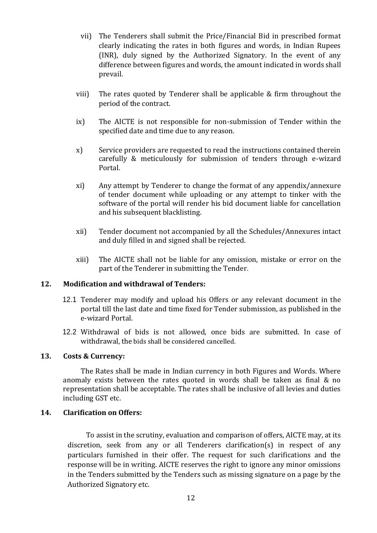- vii) The Tenderers shall submit the Price/Financial Bid in prescribed format clearly indicating the rates in both figures and words, in Indian Rupees (INR), duly signed by the Authorized Signatory. In the event of any difference between figures and words, the amount indicated in words shall prevail.
- viii) The rates quoted by Tenderer shall be applicable & firm throughout the period of the contract.
- ix) The AICTE is not responsible for non-submission of Tender within the specified date and time due to any reason.
- x) Service providers are requested to read the instructions contained therein carefully & meticulously for submission of tenders through e-wizard Portal.
- xi) Any attempt by Tenderer to change the format of any appendix/annexure of tender document while uploading or any attempt to tinker with the software of the portal will render his bid document liable for cancellation and his subsequent blacklisting.
- xii) Tender document not accompanied by all the Schedules/Annexures intact and duly filled in and signed shall be rejected.
- xiii) The AICTE shall not be liable for any omission, mistake or error on the part of the Tenderer in submitting the Tender.

## **12. Modification and withdrawal of Tenders:**

- 12.1 Tenderer may modify and upload his Offers or any relevant document in the portal till the last date and time fixed for Tender submission, as published in the e-wizard Portal.
- 12.2 Withdrawal of bids is not allowed, once bids are submitted. In case of withdrawal, the bids shall be considered cancelled.

## **13. Costs & Currency:**

The Rates shall be made in Indian currency in both Figures and Words. Where anomaly exists between the rates quoted in words shall be taken as final & no representation shall be acceptable. The rates shall be inclusive of all levies and duties including GST etc.

## **14. Clarification on Offers:**

To assist in the scrutiny, evaluation and comparison of offers, AICTE may, at its discretion, seek from any or all Tenderers clarification(s) in respect of any particulars furnished in their offer. The request for such clarifications and the response will be in writing. AICTE reserves the right to ignore any minor omissions in the Tenders submitted by the Tenders such as missing signature on a page by the Authorized Signatory etc.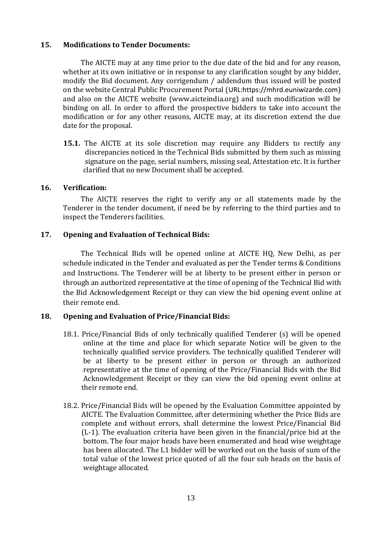#### **15. Modifications to Tender Documents:**

The AICTE may at any time prior to the due date of the bid and for any reason, whether at its own initiative or in response to any clarification sought by any bidder, modify the Bid document. Any corrigendum / addendum thus issued will be posted on the website Central Public Procurement Portal ([URL:https://mhrd.euniwizarde.com](https://mhrd.euniwizarde.com/)) and also on the AICTE website (www.aicteindia.org) and such modification will be binding on all. In order to afford the prospective bidders to take into account the modification or for any other reasons, AICTE may, at its discretion extend the due date for the proposal.

**15.1.** The AICTE at its sole discretion may require any Bidders to rectify any discrepancies noticed in the Technical Bids submitted by them such as missing signature on the page, serial numbers, missing seal, Attestation etc. It is further clarified that no new Document shall be accepted.

#### **16. Verification:**

The AICTE reserves the right to verify any or all statements made by the Tenderer in the tender document, if need be by referring to the third parties and to inspect the Tenderers facilities.

## **17. Opening and Evaluation of Technical Bids:**

The Technical Bids will be opened online at AICTE HQ, New Delhi, as per schedule indicated in the Tender and evaluated as per the Tender terms & Conditions and Instructions. The Tenderer will be at liberty to be present either in person or through an authorized representative at the time of opening of the Technical Bid with the Bid Acknowledgement Receipt or they can view the bid opening event online at their remote end.

## **18. Opening and Evaluation of Price/Financial Bids:**

- 18.1. Price/Financial Bids of only technically qualified Tenderer (s) will be opened online at the time and place for which separate Notice will be given to the technically qualified service providers. The technically qualified Tenderer will be at liberty to be present either in person or through an authorized representative at the time of opening of the Price/Financial Bids with the Bid Acknowledgement Receipt or they can view the bid opening event online at their remote end.
- 18.2. Price/Financial Bids will be opened by the Evaluation Committee appointed by AICTE. The Evaluation Committee, after determining whether the Price Bids are complete and without errors, shall determine the lowest Price/Financial Bid (L-1). The evaluation criteria have been given in the financial/price bid at the bottom. The four major heads have been enumerated and head wise weightage has been allocated. The L1 bidder will be worked out on the basis of sum of the total value of the lowest price quoted of all the four sub heads on the basis of weightage allocated.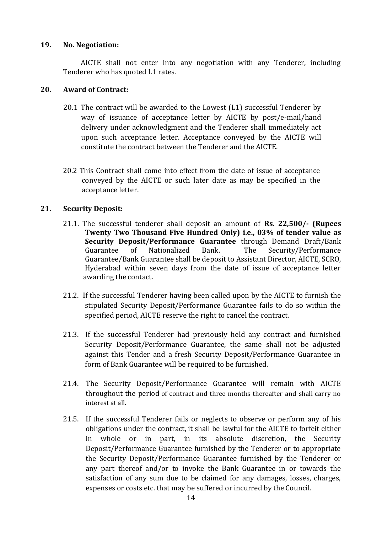### **19. No. Negotiation:**

AICTE shall not enter into any negotiation with any Tenderer, including Tenderer who has quoted L1 rates.

## **20. Award of Contract:**

- 20.1 The contract will be awarded to the Lowest (L1) successful Tenderer by way of issuance of acceptance letter by AICTE by post/e-mail/hand delivery under acknowledgment and the Tenderer shall immediately act upon such acceptance letter. Acceptance conveyed by the AICTE will constitute the contract between the Tenderer and the AICTE.
- 20.2 This Contract shall come into effect from the date of issue of acceptance conveyed by the AICTE or such later date as may be specified in the acceptance letter.

# **21. Security Deposit:**

- 21.1. The successful tenderer shall deposit an amount of **Rs. 22,500/- (Rupees Twenty Two Thousand Five Hundred Only) i.e., 03% of tender value as Security Deposit/Performance Guarantee** through Demand Draft/Bank Guarantee of Nationalized Bank. The Security/Performance Guarantee/Bank Guarantee shall be deposit to Assistant Director, AICTE, SCRO, Hyderabad within seven days from the date of issue of acceptance letter awarding the contact.
- 21.2. If the successful Tenderer having been called upon by the AICTE to furnish the stipulated Security Deposit/Performance Guarantee fails to do so within the specified period, AICTE reserve the right to cancel the contract.
- 21.3. If the successful Tenderer had previously held any contract and furnished Security Deposit/Performance Guarantee, the same shall not be adjusted against this Tender and a fresh Security Deposit/Performance Guarantee in form of Bank Guarantee will be required to be furnished.
- 21.4. The Security Deposit/Performance Guarantee will remain with AICTE throughout the period of contract and three months thereafter and shall carry no interest at all.
- 21.5. If the successful Tenderer fails or neglects to observe or perform any of his obligations under the contract, it shall be lawful for the AICTE to forfeit either in whole or in part, in its absolute discretion, the Security Deposit/Performance Guarantee furnished by the Tenderer or to appropriate the Security Deposit/Performance Guarantee furnished by the Tenderer or any part thereof and/or to invoke the Bank Guarantee in or towards the satisfaction of any sum due to be claimed for any damages, losses, charges, expenses or costs etc. that may be suffered or incurred by the Council.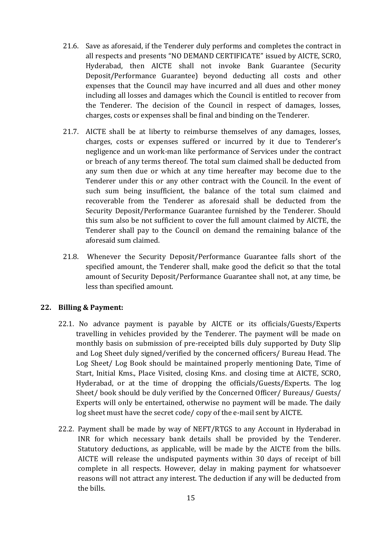- 21.6. Save as aforesaid, if the Tenderer duly performs and completes the contract in all respects and presents "NO DEMAND CERTIFICATE" issued by AICTE, SCRO, Hyderabad, then AICTE shall not invoke Bank Guarantee (Security Deposit/Performance Guarantee) beyond deducting all costs and other expenses that the Council may have incurred and all dues and other money including all losses and damages which the Council is entitled to recover from the Tenderer. The decision of the Council in respect of damages, losses, charges, costs or expenses shall be final and binding on the Tenderer.
- 21.7. AICTE shall be at liberty to reimburse themselves of any damages, losses, charges, costs or expenses suffered or incurred by it due to Tenderer's negligence and un work-man like performance of Services under the contract or breach of any terms thereof. The total sum claimed shall be deducted from any sum then due or which at any time hereafter may become due to the Tenderer under this or any other contract with the Council. In the event of such sum being insufficient, the balance of the total sum claimed and recoverable from the Tenderer as aforesaid shall be deducted from the Security Deposit/Performance Guarantee furnished by the Tenderer. Should this sum also be not sufficient to cover the full amount claimed by AICTE, the Tenderer shall pay to the Council on demand the remaining balance of the aforesaid sum claimed.
- 21.8. Whenever the Security Deposit/Performance Guarantee falls short of the specified amount, the Tenderer shall, make good the deficit so that the total amount of Security Deposit/Performance Guarantee shall not, at any time, be less than specified amount.

# **22. Billing & Payment:**

- 22.1. No advance payment is payable by AICTE or its officials/Guests/Experts travelling in vehicles provided by the Tenderer. The payment will be made on monthly basis on submission of pre-receipted bills duly supported by Duty Slip and Log Sheet duly signed/verified by the concerned officers/ Bureau Head. The Log Sheet/ Log Book should be maintained properly mentioning Date, Time of Start, Initial Kms., Place Visited, closing Kms. and closing time at AICTE, SCRO, Hyderabad, or at the time of dropping the officials/Guests/Experts. The log Sheet/ book should be duly verified by the Concerned Officer/ Bureaus/ Guests/ Experts will only be entertained, otherwise no payment will be made. The daily log sheet must have the secret code/ copy of the e-mail sent by AICTE.
- 22.2. Payment shall be made by way of NEFT/RTGS to any Account in Hyderabad in INR for which necessary bank details shall be provided by the Tenderer. Statutory deductions, as applicable, will be made by the AICTE from the bills. AICTE will release the undisputed payments within 30 days of receipt of bill complete in all respects. However, delay in making payment for whatsoever reasons will not attract any interest. The deduction if any will be deducted from the bills.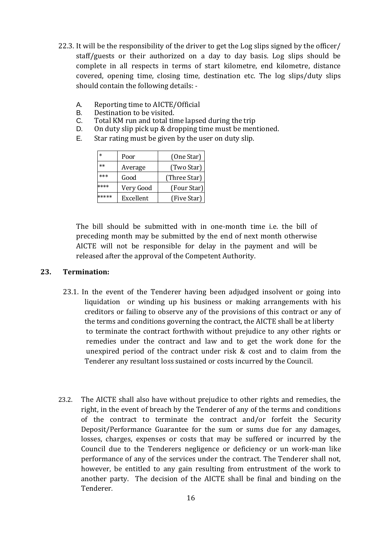- 22.3. It will be the responsibility of the driver to get the Log slips signed by the officer/ staff/guests or their authorized on a day to day basis. Log slips should be complete in all respects in terms of start kilometre, end kilometre, distance covered, opening time, closing time, destination etc. The log slips/duty slips should contain the following details: -
	- A. Reporting time to AICTE/Official
	- B. Destination to be visited.
	- C. Total KM run and total time lapsed during the trip
	- D. On duty slip pick up & dropping time must be mentioned.
	- E. Star rating must be given by the user on duty slip.

| $\ast$ | Poor      | (One Star)   |
|--------|-----------|--------------|
| $**$   | Average   | (Two Star)   |
| ***    | Good      | (Three Star) |
|        | Very Good | (Four Star)  |
|        | Excellent | (Five Star)  |

The bill should be submitted with in one-month time i.e. the bill of preceding month may be submitted by the end of next month otherwise AICTE will not be responsible for delay in the payment and will be released after the approval of the Competent Authority.

## **23. Termination:**

- 23.1. In the event of the Tenderer having been adjudged insolvent or going into liquidation or winding up his business or making arrangements with his creditors or failing to observe any of the provisions of this contract or any of the terms and conditions governing the contract, the AICTE shall be at liberty to terminate the contract forthwith without prejudice to any other rights or remedies under the contract and law and to get the work done for the unexpired period of the contract under risk & cost and to claim from the Tenderer any resultant loss sustained or costs incurred by the Council.
- 23.2. The AICTE shall also have without prejudice to other rights and remedies, the right, in the event of breach by the Tenderer of any of the terms and conditions of the contract to terminate the contract and/or forfeit the Security Deposit/Performance Guarantee for the sum or sums due for any damages, losses, charges, expenses or costs that may be suffered or incurred by the Council due to the Tenderers negligence or deficiency or un work-man like performance of any of the services under the contract. The Tenderer shall not, however, be entitled to any gain resulting from entrustment of the work to another party. The decision of the AICTE shall be final and binding on the Tenderer.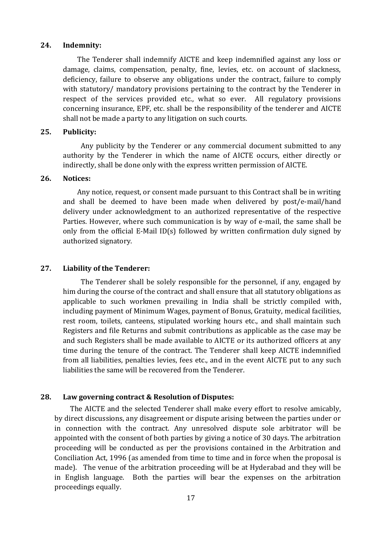#### **24. Indemnity:**

The Tenderer shall indemnify AICTE and keep indemnified against any loss or damage, claims, compensation, penalty, fine, levies, etc. on account of slackness, deficiency, failure to observe any obligations under the contract, failure to comply with statutory/ mandatory provisions pertaining to the contract by the Tenderer in respect of the services provided etc., what so ever. All regulatory provisions concerning insurance, EPF, etc. shall be the responsibility of the tenderer and AICTE shall not be made a party to any litigation on such courts.

### **25. Publicity:**

Any publicity by the Tenderer or any commercial document submitted to any authority by the Tenderer in which the name of AICTE occurs, either directly or indirectly, shall be done only with the express written permission of AICTE.

#### **26. Notices:**

Any notice, request, or consent made pursuant to this Contract shall be in writing and shall be deemed to have been made when delivered by post/e-mail/hand delivery under acknowledgment to an authorized representative of the respective Parties. However, where such communication is by way of e-mail, the same shall be only from the official E-Mail ID(s) followed by written confirmation duly signed by authorized signatory.

## **27. Liability of the Tenderer:**

The Tenderer shall be solely responsible for the personnel, if any, engaged by him during the course of the contract and shall ensure that all statutory obligations as applicable to such workmen prevailing in India shall be strictly compiled with, including payment of Minimum Wages, payment of Bonus, Gratuity, medical facilities, rest room, toilets, canteens, stipulated working hours etc., and shall maintain such Registers and file Returns and submit contributions as applicable as the case may be and such Registers shall be made available to AICTE or its authorized officers at any time during the tenure of the contract. The Tenderer shall keep AICTE indemnified from all liabilities, penalties levies, fees etc., and in the event AICTE put to any such liabilities the same will be recovered from the Tenderer.

## **28. Law governing contract & Resolution of Disputes:**

The AICTE and the selected Tenderer shall make every effort to resolve amicably, by direct discussions, any disagreement or dispute arising between the parties under or in connection with the contract. Any unresolved dispute sole arbitrator will be appointed with the consent of both parties by giving a notice of 30 days. The arbitration proceeding will be conducted as per the provisions contained in the Arbitration and Conciliation Act, 1996 (as amended from time to time and in force when the proposal is made). The venue of the arbitration proceeding will be at Hyderabad and they will be in English language. Both the parties will bear the expenses on the arbitration proceedings equally.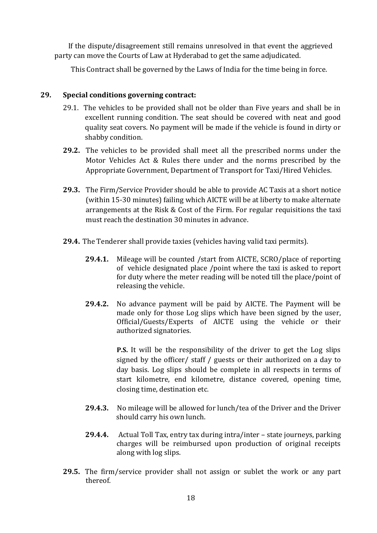If the dispute/disagreement still remains unresolved in that event the aggrieved party can move the Courts of Law at Hyderabad to get the same adjudicated.

This Contract shall be governed by the Laws of India for the time being in force.

# **29. Special conditions governing contract:**

- 29.1. The vehicles to be provided shall not be older than Five years and shall be in excellent running condition. The seat should be covered with neat and good quality seat covers. No payment will be made if the vehicle is found in dirty or shabby condition.
- **29.2.** The vehicles to be provided shall meet all the prescribed norms under the Motor Vehicles Act & Rules there under and the norms prescribed by the Appropriate Government, Department of Transport for Taxi/Hired Vehicles.
- **29.3.** The Firm/Service Provider should be able to provide AC Taxis at a short notice (within 15-30 minutes) failing which AICTE will be at liberty to make alternate arrangements at the Risk & Cost of the Firm. For regular requisitions the taxi must reach the destination 30 minutes in advance.
- **29.4.** The Tenderer shall provide taxies (vehicles having valid taxi permits).
	- **29.4.1.** Mileage will be counted /start from AICTE, SCRO/place of reporting of vehicle designated place /point where the taxi is asked to report for duty where the meter reading will be noted till the place/point of releasing the vehicle.
	- **29.4.2.** No advance payment will be paid by AICTE. The Payment will be made only for those Log slips which have been signed by the user, Official/Guests/Experts of AICTE using the vehicle or their authorized signatories.

**P.S.** It will be the responsibility of the driver to get the Log slips signed by the officer/ staff / guests or their authorized on a day to day basis. Log slips should be complete in all respects in terms of start kilometre, end kilometre, distance covered, opening time, closing time, destination etc.

- **29.4.3.** No mileage will be allowed for lunch/tea of the Driver and the Driver should carry his own lunch.
- **29.4.4.** Actual Toll Tax, entry tax during intra/inter state journeys, parking charges will be reimbursed upon production of original receipts along with log slips.
- **29.5.** The firm/service provider shall not assign or sublet the work or any part thereof.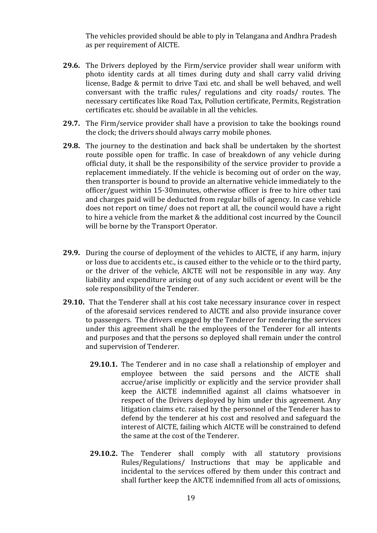The vehicles provided should be able to ply in Telangana and Andhra Pradesh as per requirement of AICTE.

- **29.6.** The Drivers deployed by the Firm/service provider shall wear uniform with photo identity cards at all times during duty and shall carry valid driving license, Badge & permit to drive Taxi etc. and shall be well behaved, and well conversant with the traffic rules/ regulations and city roads/ routes. The necessary certificates like Road Tax, Pollution certificate, Permits, Registration certificates etc. should be available in all the vehicles.
- **29.7.** The Firm/service provider shall have a provision to take the bookings round the clock; the drivers should always carry mobile phones.
- **29.8.** The journey to the destination and back shall be undertaken by the shortest route possible open for traffic. In case of breakdown of any vehicle during official duty, it shall be the responsibility of the service provider to provide a replacement immediately. If the vehicle is becoming out of order on the way, then transporter is bound to provide an alternative vehicle immediately to the officer/guest within 15-30minutes, otherwise officer is free to hire other taxi and charges paid will be deducted from regular bills of agency. In case vehicle does not report on time/ does not report at all, the council would have a right to hire a vehicle from the market & the additional cost incurred by the Council will be borne by the Transport Operator.
- **29.9.** During the course of deployment of the vehicles to AICTE, if any harm, injury or loss due to accidents etc., is caused either to the vehicle or to the third party, or the driver of the vehicle, AICTE will not be responsible in any way. Any liability and expenditure arising out of any such accident or event will be the sole responsibility of the Tenderer.
- **29.10.** That the Tenderer shall at his cost take necessary insurance cover in respect of the aforesaid services rendered to AICTE and also provide insurance cover to passengers. The drivers engaged by the Tenderer for rendering the services under this agreement shall be the employees of the Tenderer for all intents and purposes and that the persons so deployed shall remain under the control and supervision of Tenderer.
	- **29.10.1.** The Tenderer and in no case shall a relationship of employer and employee between the said persons and the AICTE shall accrue/arise implicitly or explicitly and the service provider shall keep the AICTE indemnified against all claims whatsoever in respect of the Drivers deployed by him under this agreement. Any litigation claims etc. raised by the personnel of the Tenderer has to defend by the tenderer at his cost and resolved and safeguard the interest of AICTE, failing which AICTE will be constrained to defend the same at the cost of the Tenderer.
	- **29.10.2.** The Tenderer shall comply with all statutory provisions Rules/Regulations/ Instructions that may be applicable and incidental to the services offered by them under this contract and shall further keep the AICTE indemnified from all acts of omissions,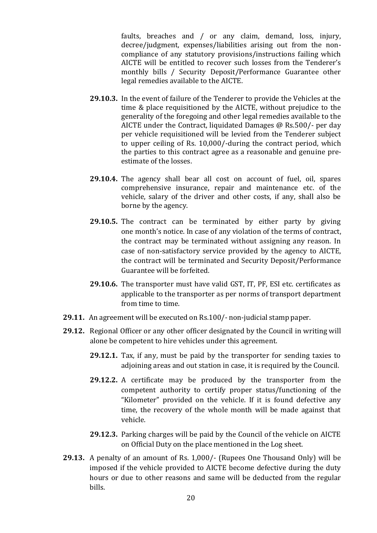faults, breaches and / or any claim, demand, loss, injury, decree/judgment, expenses/liabilities arising out from the noncompliance of any statutory provisions/instructions failing which AICTE will be entitled to recover such losses from the Tenderer's monthly bills / Security Deposit/Performance Guarantee other legal remedies available to the AICTE.

- **29.10.3.** In the event of failure of the Tenderer to provide the Vehicles at the time & place requisitioned by the AICTE, without prejudice to the generality of the foregoing and other legal remedies available to the AICTE under the Contract, liquidated Damages @ Rs.500/- per day per vehicle requisitioned will be levied from the Tenderer subject to upper ceiling of Rs. 10,000/-during the contract period, which the parties to this contract agree as a reasonable and genuine preestimate of the losses.
- **29.10.4.** The agency shall bear all cost on account of fuel, oil, spares comprehensive insurance, repair and maintenance etc. of the vehicle, salary of the driver and other costs, if any, shall also be borne by the agency.
- **29.10.5.** The contract can be terminated by either party by giving one month's notice. In case of any violation of the terms of contract, the contract may be terminated without assigning any reason. In case of non-satisfactory service provided by the agency to AICTE, the contract will be terminated and Security Deposit/Performance Guarantee will be forfeited.
- **29.10.6.** The transporter must have valid GST, IT, PF, ESI etc. certificates as applicable to the transporter as per norms of transport department from time to time.
- **29.11.** An agreement will be executed on Rs.100/- non-judicial stamp paper.
- **29.12.** Regional Officer or any other officer designated by the Council in writing will alone be competent to hire vehicles under this agreement.
	- **29.12.1.** Tax, if any, must be paid by the transporter for sending taxies to adjoining areas and out station in case, it is required by the Council.
	- **29.12.2.** A certificate may be produced by the transporter from the competent authority to certify proper status/functioning of the "Kilometer" provided on the vehicle. If it is found defective any time, the recovery of the whole month will be made against that vehicle.
	- **29.12.3.** Parking charges will be paid by the Council of the vehicle on AICTE on Official Duty on the place mentioned in the Log sheet.
- **29.13.** A penalty of an amount of Rs. 1,000/- (Rupees One Thousand Only) will be imposed if the vehicle provided to AICTE become defective during the duty hours or due to other reasons and same will be deducted from the regular bills.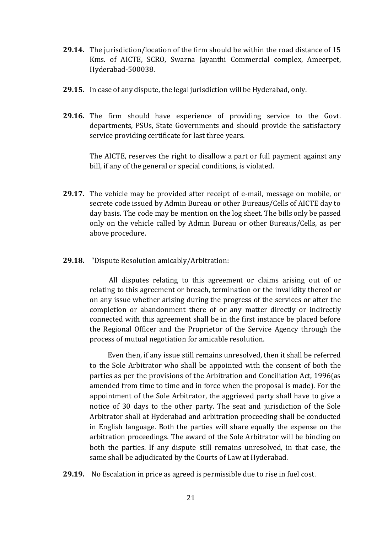- **29.14.** The jurisdiction/location of the firm should be within the road distance of 15 Kms. of AICTE, SCRO, Swarna Jayanthi Commercial complex, Ameerpet, Hyderabad-500038.
- **29.15.** In case of any dispute, the legal jurisdiction will be Hyderabad, only.
- **29.16.** The firm should have experience of providing service to the Govt. departments, PSUs, State Governments and should provide the satisfactory service providing certificate for last three years.

The AICTE, reserves the right to disallow a part or full payment against any bill, if any of the general or special conditions, is violated.

- **29.17.** The vehicle may be provided after receipt of e-mail, message on mobile, or secrete code issued by Admin Bureau or other Bureaus/Cells of AICTE day to day basis. The code may be mention on the log sheet. The bills only be passed only on the vehicle called by Admin Bureau or other Bureaus/Cells, as per above procedure.
- **29.18.** "Dispute Resolution amicably/Arbitration:

 All disputes relating to this agreement or claims arising out of or relating to this agreement or breach, termination or the invalidity thereof or on any issue whether arising during the progress of the services or after the completion or abandonment there of or any matter directly or indirectly connected with this agreement shall be in the first instance be placed before the Regional Officer and the Proprietor of the Service Agency through the process of mutual negotiation for amicable resolution.

Even then, if any issue still remains unresolved, then it shall be referred to the Sole Arbitrator who shall be appointed with the consent of both the parties as per the provisions of the Arbitration and Conciliation Act, 1996(as amended from time to time and in force when the proposal is made). For the appointment of the Sole Arbitrator, the aggrieved party shall have to give a notice of 30 days to the other party. The seat and jurisdiction of the Sole Arbitrator shall at Hyderabad and arbitration proceeding shall be conducted in English language. Both the parties will share equally the expense on the arbitration proceedings. The award of the Sole Arbitrator will be binding on both the parties. If any dispute still remains unresolved, in that case, the same shall be adjudicated by the Courts of Law at Hyderabad.

**29.19.** No Escalation in price as agreed is permissible due to rise in fuel cost.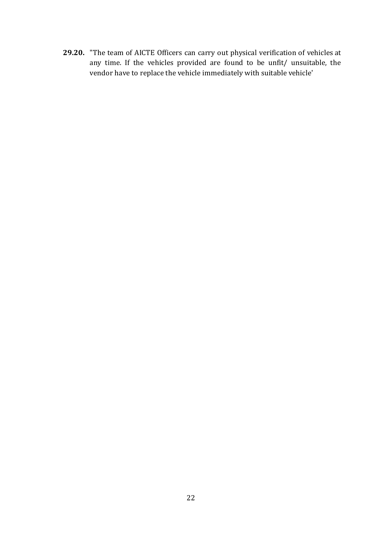**29.20.** "The team of AICTE Officers can carry out physical verification of vehicles at any time. If the vehicles provided are found to be unfit/ unsuitable, the vendor have to replace the vehicle immediately with suitable vehicle'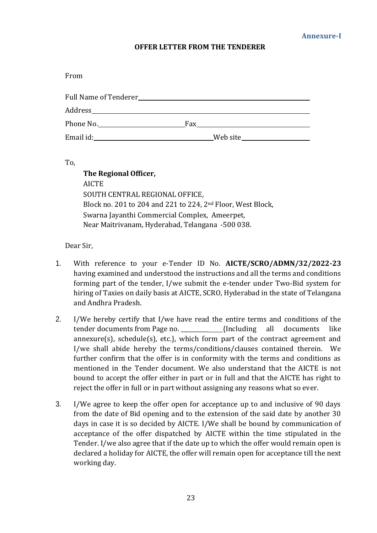#### **OFFER LETTER FROM THE TENDERER**

From

| Address______________ |     |             |
|-----------------------|-----|-------------|
| Phone No.             | Fax |             |
| Email id:             |     | _Web site__ |

To,

| The Regional Officer,                                                   |
|-------------------------------------------------------------------------|
| <b>AICTE</b>                                                            |
| SOUTH CENTRAL REGIONAL OFFICE,                                          |
| Block no. 201 to 204 and 221 to 224, 2 <sup>nd</sup> Floor, West Block, |
| Swarna Jayanthi Commercial Complex, Ameerpet,                           |
| Near Maitrivanam, Hyderabad, Telangana -500 038.                        |

Dear Sir,

- 1. With reference to your e-Tender ID No. **AICTE/SCRO/ADMN/32/2022-23**  having examined and understood the instructions and all the terms and conditions forming part of the tender, I/we submit the e-tender under Two-Bid system for hiring of Taxies on daily basis at AICTE, SCRO, Hyderabad in the state of Telangana and Andhra Pradesh.
- 2. I/We hereby certify that I/we have read the entire terms and conditions of the tender documents from Page no.  $\{Including \ all \ documents \ like$ annexure(s), schedule(s), etc.}, which form part of the contract agreement and I/we shall abide hereby the terms/conditions/clauses contained therein. We further confirm that the offer is in conformity with the terms and conditions as mentioned in the Tender document. We also understand that the AICTE is not bound to accept the offer either in part or in full and that the AICTE has right to reject the offer in full or in part without assigning any reasons what so ever.
- 3. I/We agree to keep the offer open for acceptance up to and inclusive of 90 days from the date of Bid opening and to the extension of the said date by another 30 days in case it is so decided by AICTE. I/We shall be bound by communication of acceptance of the offer dispatched by AICTE within the time stipulated in the Tender. I/we also agree that if the date up to which the offer would remain open is declared a holiday for AICTE, the offer will remain open for acceptance till the next working day.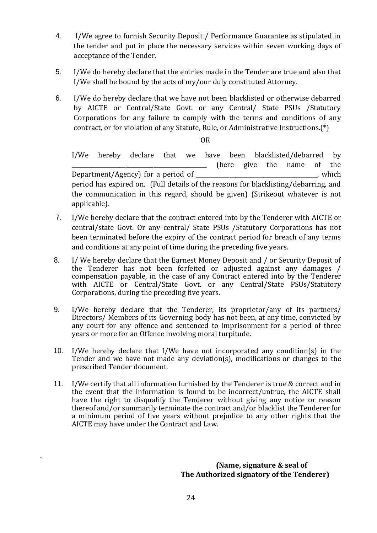- 4. I/We agree to furnish Security Deposit / Performance Guarantee as stipulated in the tender and put in place the necessary services within seven working days of acceptance of the Tender.
- 5. I/We do hereby declare that the entries made in the Tender are true and also that I/We shall be bound by the acts of my/our duly constituted Attorney.
- 6. I/We do hereby declare that we have not been blacklisted or otherwise debarred by AICTE or Central/State Govt. or any Central/ State PSUs /Statutory Corporations for any failure to comply with the terms and conditions of any contract, or for violation of any Statute, Rule, or Administrative Instructions.(\*)

OR

I/We hereby declare that we have been blacklisted/debarred by \_\_\_\_\_\_\_\_\_\_\_\_\_\_\_\_\_\_\_\_\_\_\_\_\_\_\_\_\_\_\_\_\_\_\_\_\_\_\_\_\_\_\_\_\_\_\_\_ (here give the name of the Department/Agency) for a period of \_\_\_\_\_\_\_\_\_\_\_\_\_\_\_\_\_\_\_\_\_\_\_\_\_\_\_\_\_\_\_\_\_\_\_\_\_\_\_\_\_\_\_, which period has expired on. (Full details of the reasons for blacklisting/debarring, and the communication in this regard, should be given) (Strikeout whatever is not applicable).

- 7. I/We hereby declare that the contract entered into by the Tenderer with AICTE or central/state Govt. Or any central/ State PSUs /Statutory Corporations has not been terminated before the expiry of the contract period for breach of any terms and conditions at any point of time during the preceding five years.
- 8. I/ We hereby declare that the Earnest Money Deposit and / or Security Deposit of the Tenderer has not been forfeited or adjusted against any damages / compensation payable, in the case of any Contract entered into by the Tenderer with AICTE or Central/State Govt. or any Central/State PSUs/Statutory Corporations, during the preceding five years.
- 9. I/We hereby declare that the Tenderer, its proprietor/any of its partners/ Directors/ Members of its Governing body has not been, at any time, convicted by any court for any offence and sentenced to imprisonment for a period of three years or more for an Offence involving moral turpitude.
- 10. I/We hereby declare that I/We have not incorporated any condition(s) in the Tender and we have not made any deviation(s), modifications or changes to the prescribed Tender document.
- 11. I/We certify that all information furnished by the Tenderer is true & correct and in the event that the information is found to be incorrect/untrue, the AICTE shall have the right to disqualify the Tenderer without giving any notice or reason thereof and/or summarily terminate the contract and/or blacklist the Tenderer for a minimum period of five years without prejudice to any other rights that the AICTE may have under the Contract and Law.

 **(Name, signature & seal of The Authorized signatory of the Tenderer)**

.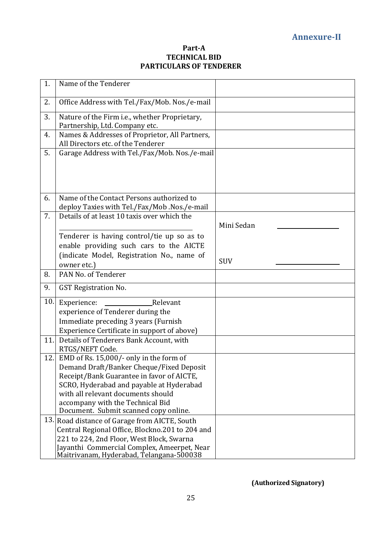### **Part-A TECHNICAL BID PARTICULARS OF TENDERER**

| 1.  | Name of the Tenderer                                                                                                                                                                                                                                                                            |            |
|-----|-------------------------------------------------------------------------------------------------------------------------------------------------------------------------------------------------------------------------------------------------------------------------------------------------|------------|
| 2.  | Office Address with Tel./Fax/Mob. Nos./e-mail                                                                                                                                                                                                                                                   |            |
| 3.  | Nature of the Firm i.e., whether Proprietary,<br>Partnership, Ltd. Company etc.                                                                                                                                                                                                                 |            |
| 4.  | Names & Addresses of Proprietor, All Partners,<br>All Directors etc. of the Tenderer                                                                                                                                                                                                            |            |
| 5.  | Garage Address with Tel./Fax/Mob. Nos./e-mail                                                                                                                                                                                                                                                   |            |
| 6.  | Name of the Contact Persons authorized to<br>deploy Taxies with Tel./Fax/Mob.Nos./e-mail                                                                                                                                                                                                        |            |
| 7.  | Details of at least 10 taxis over which the                                                                                                                                                                                                                                                     | Mini Sedan |
|     | Tenderer is having control/tie up so as to<br>enable providing such cars to the AICTE<br>(indicate Model, Registration No., name of<br>owner etc.)                                                                                                                                              | <b>SUV</b> |
| 8.  | PAN No. of Tenderer                                                                                                                                                                                                                                                                             |            |
| 9.  | <b>GST Registration No.</b>                                                                                                                                                                                                                                                                     |            |
| 10. | Experience:<br>Relevant<br>experience of Tenderer during the<br>Immediate preceding 3 years (Furnish<br>Experience Certificate in support of above)                                                                                                                                             |            |
| 11. | Details of Tenderers Bank Account, with<br>RTGS/NEFT Code.                                                                                                                                                                                                                                      |            |
| 12. | EMD of Rs. 15,000/- only in the form of<br>Demand Draft/Banker Cheque/Fixed Deposit<br>Receipt/Bank Guarantee in favor of AICTE,<br>SCRO, Hyderabad and payable at Hyderabad<br>with all relevant documents should<br>accompany with the Technical Bid<br>Document. Submit scanned copy online. |            |
|     | 13. Road distance of Garage from AICTE, South<br>Central Regional Office, Blockno.201 to 204 and<br>221 to 224, 2nd Floor, West Block, Swarna<br>Jayanthi Commercial Complex, Ameerpet, Near<br>Maitrivanam, Hyderabad, Telangana-500038                                                        |            |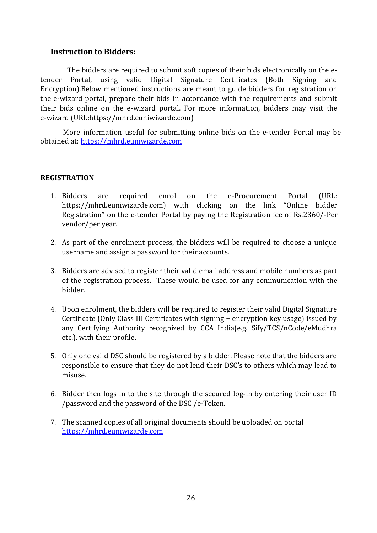# **Instruction to Bidders:**

The bidders are required to submit soft copies of their bids electronically on the etender Portal, using valid Digital Signature Certificates (Both Signing and Encryption).Below mentioned instructions are meant to guide bidders for registration on the e-wizard portal, prepare their bids in accordance with the requirements and submit their bids online on the e-wizard portal. For more information, bidders may visit the e-wizard (URL:https://mhrd.euniwizarde.com)

More information useful for submitting online bids on the e-tender Portal may be obtained at: [https://mhrd.euniwizarde.com](https://mhrd.euniwizarde.com/)

## **REGISTRATION**

- 1. Bidders are required enrol on the e-Procurement Portal (URL: https://mhrd.euniwizarde.com) with clicking on the link "Online bidder Registration" on the e-tender Portal by paying the Registration fee of Rs.2360/-Per vendor/per year.
- 2. As part of the enrolment process, the bidders will be required to choose a unique username and assign a password for their accounts.
- 3. Bidders are advised to register their valid email address and mobile numbers as part of the registration process. These would be used for any communication with the bidder.
- 4. Upon enrolment, the bidders will be required to register their valid Digital Signature Certificate (Only Class III Certificates with signing + encryption key usage) issued by any Certifying Authority recognized by CCA India(e.g. Sify/TCS/nCode/eMudhra etc.), with their profile.
- 5. Only one valid DSC should be registered by a bidder. Please note that the bidders are responsible to ensure that they do not lend their DSC's to others which may lead to misuse.
- 6. Bidder then logs in to the site through the secured log-in by entering their user ID /password and the password of the DSC /e-Token.
- 7. The scanned copies of all original documents should be uploaded on portal [https://mhrd.euniwizarde.com](https://mhrd.euniwizarde.com/)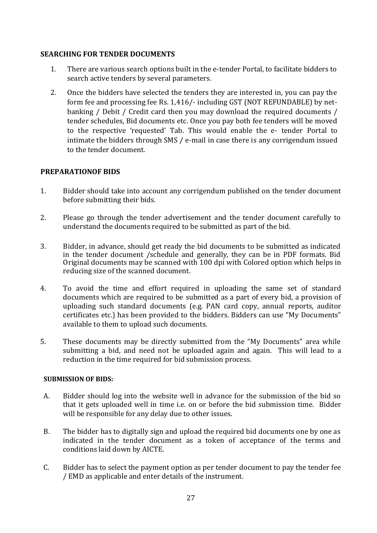# **SEARCHING FOR TENDER DOCUMENTS**

- 1. There are various search options built in the e-tender Portal, to facilitate bidders to search active tenders by several parameters.
- 2. Once the bidders have selected the tenders they are interested in, you can pay the form fee and processing fee Rs. 1,416/- including GST (NOT REFUNDABLE) by netbanking / Debit / Credit card then you may download the required documents / tender schedules, Bid documents etc. Once you pay both fee tenders will be moved to the respective 'requested' Tab. This would enable the e- tender Portal to intimate the bidders through SMS / e-mail in case there is any corrigendum issued to the tender document.

# **PREPARATIONOF BIDS**

- 1. Bidder should take into account any corrigendum published on the tender document before submitting their bids.
- 2. Please go through the tender advertisement and the tender document carefully to understand the documents required to be submitted as part of the bid.
- 3. Bidder, in advance, should get ready the bid documents to be submitted as indicated in the tender document /schedule and generally, they can be in PDF formats. Bid Original documents may be scanned with 100 dpi with Colored option which helps in reducing size of the scanned document.
- 4. To avoid the time and effort required in uploading the same set of standard documents which are required to be submitted as a part of every bid, a provision of uploading such standard documents (e.g. PAN card copy, annual reports, auditor certificates etc.) has been provided to the bidders. Bidders can use "My Documents" available to them to upload such documents.
- 5. These documents may be directly submitted from the "My Documents" area while submitting a bid, and need not be uploaded again and again. This will lead to a reduction in the time required for bid submission process.

## **SUBMISSION OF BIDS:**

- A. Bidder should log into the website well in advance for the submission of the bid so that it gets uploaded well in time i.e. on or before the bid submission time. Bidder will be responsible for any delay due to other issues.
- B. The bidder has to digitally sign and upload the required bid documents one by one as indicated in the tender document as a token of acceptance of the terms and conditions laid down by AICTE.
- C. Bidder has to select the payment option as per tender document to pay the tender fee / EMD as applicable and enter details of the instrument.